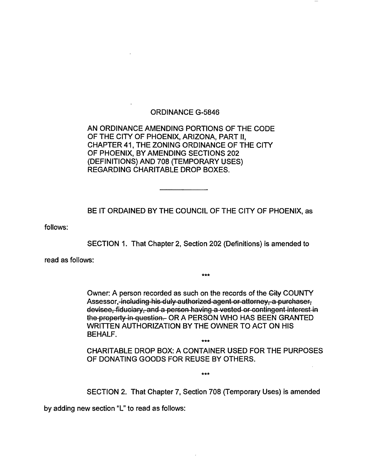## ORDINANCE G-5846

AN ORDINANCE AMENDING PORTIONS OF THE CODE OF THE CITY OF PHOENIX, ARIZONA, PART II, CHAPTER 41, THE ZONING ORDINANCE OF THE CITY OF PHOENIX, BY AMENDING SECTIONS 202 (DEFINITIONS) AND 708 (TEMPORARY USES) REGARDING CHARITABLE DROP BOXES.

BE IT ORDAINED BY THE COUNCIL OF THE CITY OF PHOENIX, as

follows:

SECTION 1. That Chapter 2, Section 202 (Definitions) is amended to

read as follows:

Owner: A person recorded as such on the records of the Gity COUNTY Assessor, including his duly authorized agent or attorney, a purchaser, devisee, fiduciary, and a person having a vested or contingent interest in the property in question. OR A PERSON WHO HAS BEEN GRANTED WRITTEN AUTHORIZATION BY THE OWNER TO ACT ON HIS BEHALF.

\*\*\*

CHARITABLE DROP BOX: A CONTAINER USED FOR THE PURPOSES OF DONATING GOODS FOR REUSE BY OTHERS.

\*\*\*

\*\*\*

SECTION 2. That Chapter 7, Section 708 (Temporary Uses) is amended

by adding new section "L" to read as follows: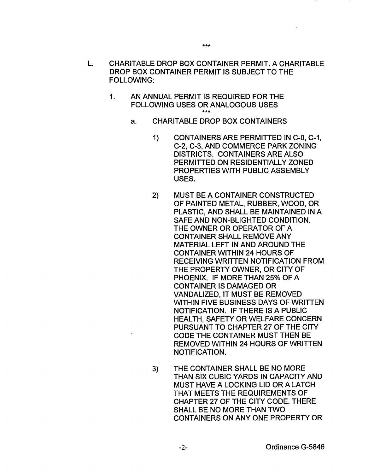- L. CHARITABLE DROP BOX CONTAINER PERMIT. A CHARITABLE DROP BOX CONTAINER PERMIT IS SUBJECT TO THE FOLLOWING:
	- 1. AN ANNUAL PERMIT IS REQUIRED FOR THE FOLLOWING USES OR ANALOGOUS USES \*\*\*
		- a. CHARITABLE DROP BOX CONTAINERS
			- 1) CONTAINERS ARE PERMITTED IN C-0, C-1, C-2, C-3, AND COMMERCE PARK ZONING DISTRICTS. CONTAINERS ARE ALSO PERMITTED ON RESIDENTIALLY ZONED PROPERTIES WITH PUBLIC ASSEMBLY USES.
			- 2) MUST BE A CONTAINER CONSTRUCTED OF PAINTED METAL, RUBBER, WOOD, OR PLASTIC, AND SHALL BE MAINTAINED IN A SAFE AND NON-BLIGHTED CONDITION. THE OWNER OR OPERATOR OF A CONTAINER SHALL REMOVE ANY MATERIAL LEFT IN AND AROUND THE CONTAINER WITHIN 24 HOURS OF RECEIVING WRITTEN NOTIFICATION FROM THE PROPERTY OWNER, OR CITY OF PHOENIX. IF MORE THAN 25% OF A CONTAINER IS DAMAGED OR VANDALIZED, IT MUST BE REMOVED WITHIN FIVE BUSINESS DAYS OF WRITTEN NOTIFICATION. IF THERE IS A PUBLIC HEALTH, SAFETY OR WELFARE CONCERN PURSUANT TO CHAPTER 27 OF THE CITY CODE THE CONTAINER MUST THEN BE REMOVED WITHIN 24 HOURS OF WRITTEN NOTIFICATION.
			- 3) THE CONTAINER SHALL BE NO MORE THAN SIX CUBIC YARDS IN CAPACITY AND MUST HAVE A LOCKING LID OR A LATCH THAT MEETS THE REQUIREMENTS OF CHAPTER 27 OF THE CITY CODE. THERE SHALL BE NO MORE THAN TWO CONTAINERS ON ANY ONE PROPERTY OR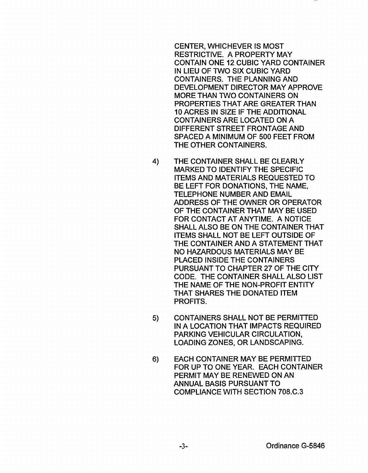CENTER, WHICHEVER IS MOST RESTRICTIVE. A PROPERTY MAY CONTAIN ONE 12 CUBIC YARD CONTAINER IN LIEU OF TWO SIX CUBIC YARD CONTAINERS. THE PLANNING AND DEVELOPMENT DIRECTOR MAY APPROVE MORE THAN TWO CONTAINERS ON PROPERTIES THAT ARE GREATER THAN 10 ACRES IN SIZE IF THE ADDITIONAL CONTAINERS ARE LOCATED ON A DIFFERENT STREET FRONTAGE AND SPACED A MINIMUM OF 500 FEET FROM THE OTHER CONTAINERS.

- 4) THE CONTAINER SHALL BE CLEARLY MARKED TO IDENTIFY THE SPECIFIC ITEMS AND MATERIALS REQUESTED TO BE LEFT FOR DONATIONS, THE NAME, TELEPHONE NUMBER AND EMAIL ADDRESS OF THE OWNER OR OPERATOR OF THE CONTAINER THAT MAY BE USED FOR CONTACT AT ANYTIME. A NOTICE SHALL ALSO BE ON THE CONTAINER THAT ITEMS SHALL NOT BE LEFT OUTSIDE OF THE CONTAINER AND A STATEMENT THAT NO HAZARDOUS MATERIALS MAY BE PLACED INSIDE THE CONTAINERS PURSUANT TO CHAPTER 27 OF THE CITY CODE. THE CONTAINER SHALL ALSO LIST THE NAME OF THE NON-PROFIT ENTITY THAT SHARES THE DONATED ITEM PROFITS.
- 5) CONTAINERS SHALL NOT BE PERMITTED IN A LOCATION THAT IMPACTS REQUIRED PARKING VEHICULAR CIRCULATION, LOADING ZONES, OR LANDSCAPING.
- 6) EACH CONTAINER MAY BE PERMITTED FOR UP TO ONE YEAR. EACH CONTAINER PERMIT MAY BE RENEWED ON AN ANNUAL BASIS PURSUANT TO COMPLIANCE WITH SECTION 708.C.3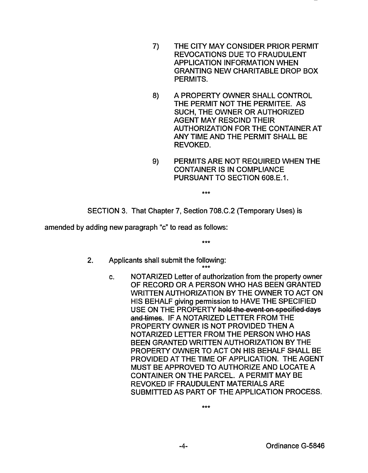- 7) THE CITY MAY CONSIDER PRIOR PERMIT REVOCATIONS DUE TO FRAUDULENT APPLICATION INFORMATION WHEN GRANTING NEW CHARITABLE DROP BOX PERMITS.
- 8) A PROPERTY OWNER SHALL CONTROL THE PERMIT NOT THE PERMITEE. AS SUCH, THE OWNER OR AUTHORIZED AGENT MAY RESCIND THEIR AUTHORIZATION FOR THE CONTAINER AT ANY TIME AND THE PERMIT SHALL BE REVOKED.
- 9) PERMITS ARE NOT REQUIRED WHEN THE CONTAINER IS IN COMPLIANCE PURSUANT TO SECTION 608.E.1.

\*\*\*

SECTION 3. That Chapter 7, Section 708.C.2 (Temporary Uses) is

amended by adding new paragraph "c" to read as follows:

\*\*\*

\*\*\*

- 2. Applicants shall submit the following:
	- c. NOTARIZED Letter of authorization from the property owner OF RECORD OR A PERSON WHO HAS BEEN GRANTED WRITTEN AUTHORIZATION BY THE OWNER TO ACT ON HIS BEHALF giving permission to HAVE THE SPECIFIED USE ON THE PROPERTY hold the event on specified days and times. IF A NOTARIZED LETTER FROM THE PROPERTY OWNER IS NOT PROVIDED THEN A NOTARIZED LETTER FROM THE PERSON WHO HAS BEEN GRANTED WRITTEN AUTHORIZATION BY THE PROPERTY OWNER TO ACT ON HIS BEHALF SHALL BE PROVIDED AT THE TIME OF APPLICATION. THE AGENT MUST BE APPROVED TO AUTHORIZE AND LOCATE A CONTAINER ON THE PARCEL. A PERMIT MAY BE REVOKED IF FRAUDULENT MATERIALS ARE SUBMITTED AS PART OF THE APPLICATION PROCESS.

\*\*\*